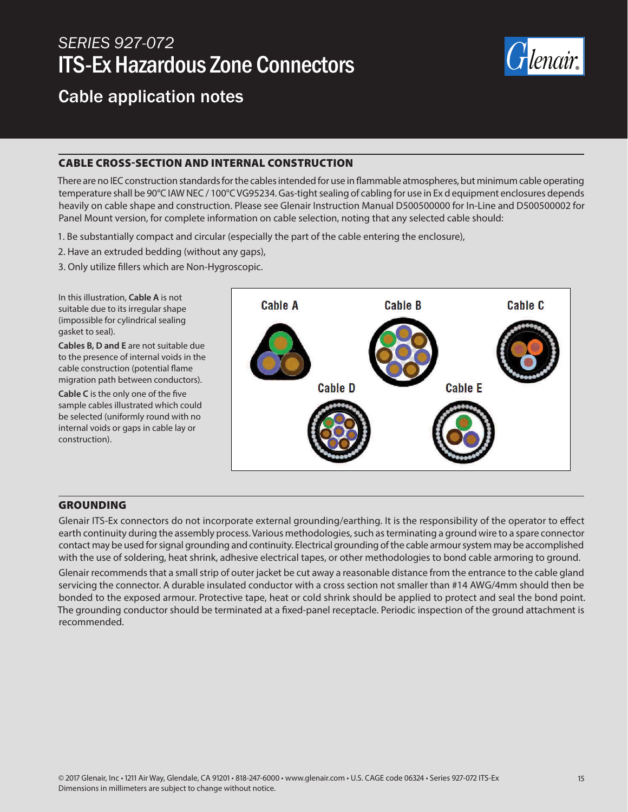# *SERIES 927-072* ITS-Ex Hazardous Zone Connectors



## Cable application notes

#### CABLE CROSS-SECTION AND INTERNAL CONSTRUCTION

There are no IEC construction standards for the cables intended for use in flammable atmospheres, but minimum cable operating temperature shall be 90°C IAW NEC / 100°C VG95234. Gas-tight sealing of cabling for use in Ex d equipment enclosures depends heavily on cable shape and construction. Please see Glenair Instruction Manual D500500000 for In-Line and D500500002 for Panel Mount version, for complete information on cable selection, noting that any selected cable should:

- 1. Be substantially compact and circular (especially the part of the cable entering the enclosure),
- 2. Have an extruded bedding (without any gaps),
- 3. Only utilize fillers which are Non-Hygroscopic.

In this illustration, **Cable A** is not suitable due to its irregular shape (impossible for cylindrical sealing gasket to seal).

**Cables B, D and E** are not suitable due to the presence of internal voids in the cable construction (potential flame migration path between conductors).

**Cable C** is the only one of the five sample cables illustrated which could be selected (uniformly round with no internal voids or gaps in cable lay or construction).



Figure 11: Examples of cables cross section

#### **GROUNDING**

Glenair ITS-Ex connectors do not incorporate external grounding/earthing. It is the responsibility of the operator to effect earth continuity during the assembly process. Various methodologies, such as terminating a ground wire to a spare connector contact may be used for signal grounding and continuity. Electrical grounding of the cable armour system may be accomplished with the use of soldering, heat shrink, adhesive electrical tapes, or other methodologies to bond cable armoring to ground.

Glenair recommends that a small strip of outer jacket be cut away a reasonable distance from the entrance to the cable gland servicing the connector. A durable insulated conductor with a cross section not smaller than #14 AWG/4mm should then be bonded to the exposed armour. Protective tape, heat or cold shrink should be applied to protect and seal the bond point. The grounding conductor should be terminated at a fixed-panel receptacle. Periodic inspection of the ground attachment is recommended.